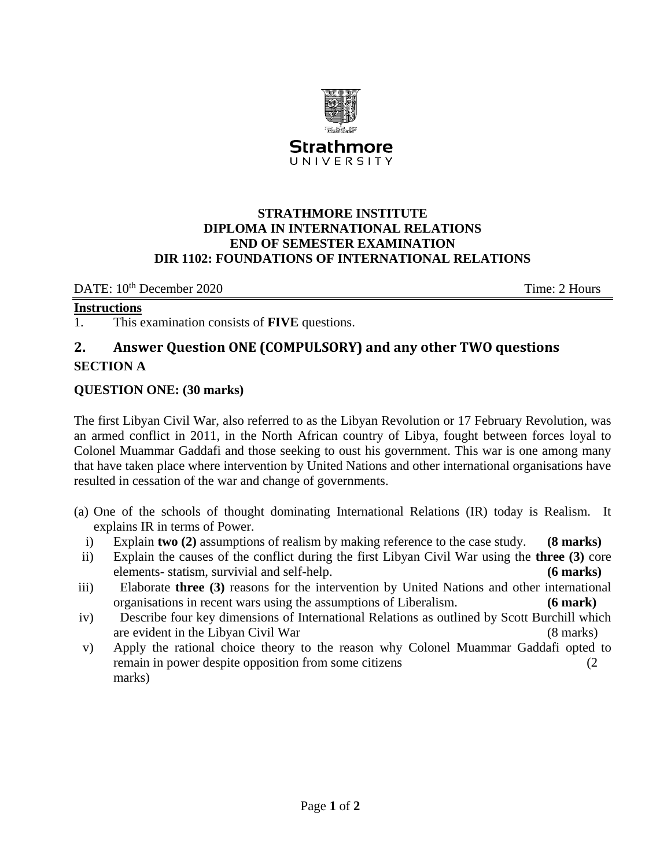

UNIVERSITY

# **STRATHMORE INSTITUTE DIPLOMA IN INTERNATIONAL RELATIONS END OF SEMESTER EXAMINATION DIR 1102: FOUNDATIONS OF INTERNATIONAL RELATIONS**

DATE: 10<sup>th</sup> December 2020 Time: 2 Hours

#### **Instructions**

1. This examination consists of **FIVE** questions.

# **2. Answer Question ONE (COMPULSORY) and any other TWO questions SECTION A**

# **QUESTION ONE: (30 marks)**

The first Libyan Civil War, also referred to as the Libyan Revolution or 17 February Revolution, was an armed conflict in 2011, in the North African country of [Libya,](https://en.wikipedia.org/wiki/Libya) fought between forces loyal to Colonel [Muammar Gaddafi](https://en.wikipedia.org/wiki/Muammar_Gaddafi) and those seeking to oust [his government.](https://en.wikipedia.org/wiki/Libyan_Arab_Jamahiriya) This war is one among many that have taken place where intervention by United Nations and other international organisations have resulted in cessation of the war and change of governments.

- (a) One of the schools of thought dominating International Relations (IR) today is Realism. It explains IR in terms of Power.
	- i) Explain **two (2)** assumptions of realism by making reference to the case study. **(8 marks)**
- ii) Explain the causes of the conflict during the first Libyan Civil War using the **three (3)** core elements- statism, survivial and self-help. **(6 marks)**
- iii) Elaborate **three (3)** reasons for the intervention by United Nations and other international organisations in recent wars using the assumptions of Liberalism. **(6 mark)**
- iv) Describe four key dimensions of International Relations as outlined by Scott Burchill which are evident in the Libyan Civil War (8 marks)
- v) Apply the rational choice theory to the reason why Colonel Muammar Gaddafi opted to remain in power despite opposition from some citizens (2 marks)